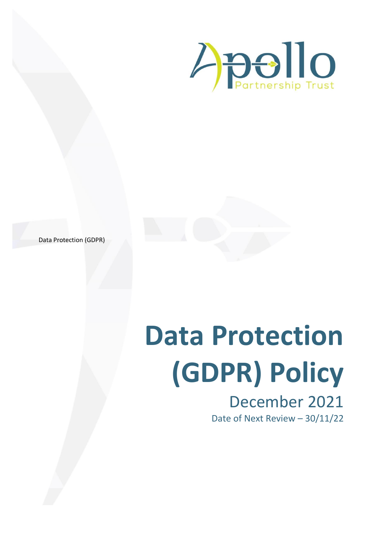

Data Protection (GDPR)

# **Data Protection (GDPR) Policy** December 2021 Date of Next Review – 30/11/22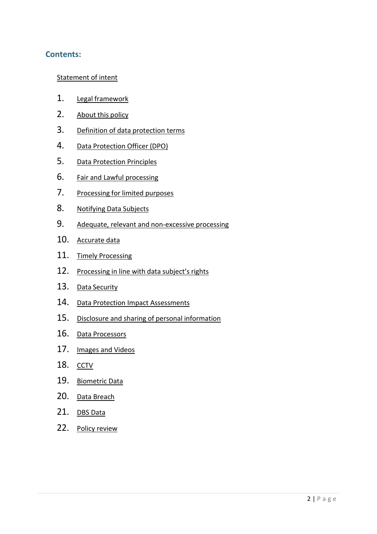# **Contents:**

## Statement of intent

- 1. Legal framework
- 2. About this policy
- 3. Definition of data protection terms
- 4. Data Protection Officer (DPO)
- 5. Data Protection Principles
- 6. Fair and Lawful processing
- 7. Processing for limited purposes
- 8. Notifying Data Subjects
- 9. Adequate, relevant and non-excessive processing
- 10. Accurate data
- 11. Timely Processing
- 12. Processing in line with data subject's rights
- 13. Data Security
- 14. Data Protection Impact Assessments
- 15. Disclosure and sharing of personal information
- 16. Data Processors
- 17. Images and Videos
- 18. CCTV
- 19. Biometric Data
- 20. Data Breach
- 21. DBS Data
- 22. Policy review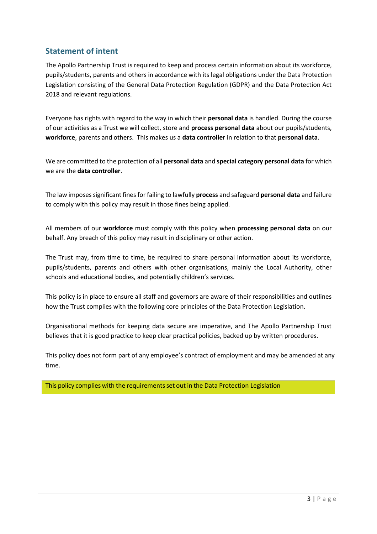# **Statement of intent**

The Apollo Partnership Trust is required to keep and process certain information about its workforce, pupils/students, parents and others in accordance with its legal obligations under the Data Protection Legislation consisting of the General Data Protection Regulation (GDPR) and the Data Protection Act 2018 and relevant regulations.

Everyone has rights with regard to the way in which their **personal data** is handled. During the course of our activities as a Trust we will collect, store and **process personal data** about our pupils/students, **workforce**, parents and others. This makes us a **data controller** in relation to that **personal data**.

We are committed to the protection of all **personal data** and **special category personal data** for which we are the **data controller**.

The law imposessignificant finesfor failing to lawfully **process** and safeguard **personal data** and failure to comply with this policy may result in those fines being applied.

All members of our **workforce** must comply with this policy when **processing personal data** on our behalf. Any breach of this policy may result in disciplinary or other action.

The Trust may, from time to time, be required to share personal information about its workforce, pupils/students, parents and others with other organisations, mainly the Local Authority, other schools and educational bodies, and potentially children's services.

This policy is in place to ensure all staff and governors are aware of their responsibilities and outlines how the Trust complies with the following core principles of the Data Protection Legislation.

Organisational methods for keeping data secure are imperative, and The Apollo Partnership Trust believes that it is good practice to keep clear practical policies, backed up by written procedures.

This policy does not form part of any employee's contract of employment and may be amended at any time.

This policy complies with the requirementsset out in the Data Protection Legislation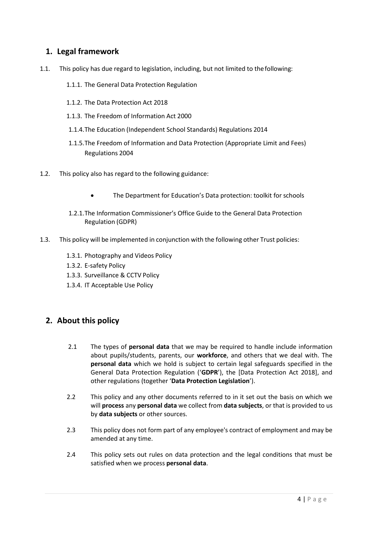# **1. Legal framework**

- 1.1. This policy has due regard to legislation, including, but not limited to thefollowing:
	- 1.1.1. The General Data Protection Regulation
	- 1.1.2. The Data Protection Act 2018
	- 1.1.3. The Freedom of Information Act 2000
	- 1.1.4.The Education (Independent School Standards) Regulations 2014
	- 1.1.5.The Freedom of Information and Data Protection (Appropriate Limit and Fees) Regulations 2004
- 1.2. This policy also has regard to the following guidance:
	- The Department for Education's Data protection: toolkit for schools
	- 1.2.1.The Information Commissioner's Office Guide to the General Data Protection Regulation (GDPR)
- 1.3. This policy will be implemented in conjunction with the following other Trust policies:
	- 1.3.1. Photography and Videos Policy
	- 1.3.2. E-safety Policy
	- 1.3.3. Surveillance & CCTV Policy
	- 1.3.4. IT Acceptable Use Policy

# **2. About this policy**

- 2.1 The types of **personal data** that we may be required to handle include information about pupils/students, parents, our **workforce**, and others that we deal with. The **personal data** which we hold is subject to certain legal safeguards specified in the General Data Protection Regulation ('**GDPR**'), the [Data Protection Act 2018], and other regulations (together '**Data Protection Legislation**').
- 2.2 This policy and any other documents referred to in it set out the basis on which we will **process** any **personal data** we collect from **data subjects**, or that is provided to us by **data subjects** or other sources.
- 2.3 This policy does not form part of any employee's contract of employment and may be amended at any time.
- 2.4 This policy sets out rules on data protection and the legal conditions that must be satisfied when we process **personal data**.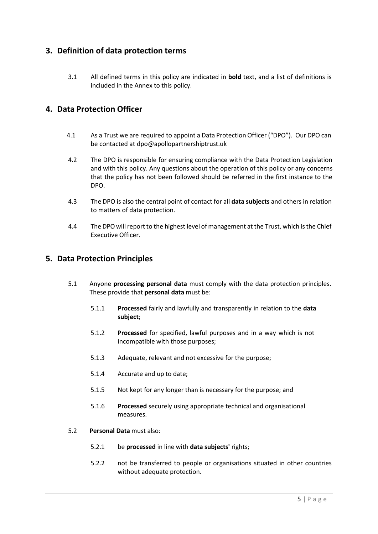# **3. Definition of data protection terms**

3.1 All defined terms in this policy are indicated in **bold** text, and a list of definitions is included in the Annex to this policy.

# **4. Data Protection Officer**

- 4.1 As a Trust we are required to appoint a Data Protection Officer ("DPO"). Our DPO can be contacted at [dpo@apollopartnershiptrust.uk](mailto:dpo@apollopartnershiptrust.uk)
- 4.2 The DPO is responsible for ensuring compliance with the Data Protection Legislation and with this policy. Any questions about the operation of this policy or any concerns that the policy has not been followed should be referred in the first instance to the DPO.
- 4.3 The DPO is also the central point of contact for all **data subjects** and others in relation to matters of data protection.
- 4.4 The DPO will report to the highest level of management at the Trust, which is the Chief Executive Officer.

## **5. Data Protection Principles**

- 5.1 Anyone **processing personal data** must comply with the data protection principles. These provide that **personal data** must be:
	- 5.1.1 **Processed** fairly and lawfully and transparently in relation to the **data subject**;
	- 5.1.2 **Processed** for specified, lawful purposes and in a way which is not incompatible with those purposes;
	- 5.1.3 Adequate, relevant and not excessive for the purpose;
	- 5.1.4 Accurate and up to date;
	- 5.1.5 Not kept for any longer than is necessary for the purpose; and
	- 5.1.6 **Processed** securely using appropriate technical and organisational measures.
- 5.2 **Personal Data** must also:
	- 5.2.1 be **processed** in line with **data subjects'** rights;
	- 5.2.2 not be transferred to people or organisations situated in other countries without adequate protection.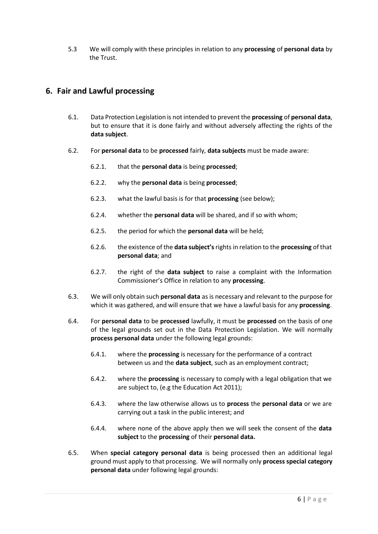5.3 We will comply with these principles in relation to any **processing** of **personal data** by the Trust.

# **6. Fair and Lawful processing**

- 6.1. Data Protection Legislation is not intended to prevent the **processing** of **personal data**, but to ensure that it is done fairly and without adversely affecting the rights of the **data subject**.
- 6.2. For **personal data** to be **processed** fairly, **data subjects** must be made aware:
	- 6.2.1. that the **personal data** is being **processed**;
	- 6.2.2. why the **personal data** is being **processed**;
	- 6.2.3. what the lawful basis is for that **processing** (see below);
	- 6.2.4. whether the **personal data** will be shared, and if so with whom;
	- 6.2.5. the period for which the **personal data** will be held;
	- 6.2.6. the existence of the **data subject's**rights in relation to the **processing** of that **personal data**; and
	- 6.2.7. the right of the **data subject** to raise a complaint with the Information Commissioner's Office in relation to any **processing**.
- 6.3. We will only obtain such **personal data** as is necessary and relevant to the purpose for which it was gathered, and will ensure that we have a lawful basis for any **processing**.
- 6.4. For **personal data** to be **processed** lawfully, it must be **processed** on the basis of one of the legal grounds set out in the Data Protection Legislation. We will normally **process personal data** under the following legal grounds:
	- 6.4.1. where the **processing** is necessary for the performance of a contract between us and the **data subject**, such as an employment contract;
	- 6.4.2. where the **processing** is necessary to comply with a legal obligation that we are subject to, (e.g the Education Act 2011);
	- 6.4.3. where the law otherwise allows us to **process** the **personal data** or we are carrying out a task in the public interest; and
	- 6.4.4. where none of the above apply then we will seek the consent of the **data subject** to the **processing** of their **personal data.**
- 6.5. When **special category personal data** is being processed then an additional legal ground must apply to that processing. We will normally only **process special category personal data** under following legal grounds: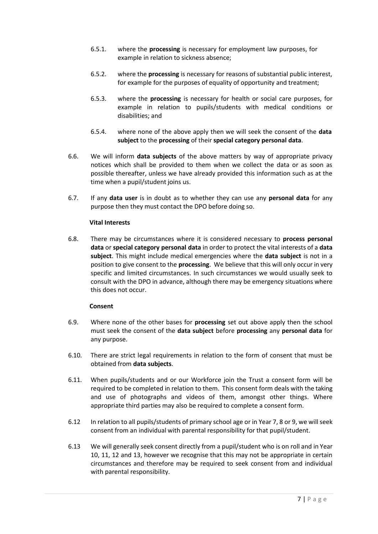- 6.5.1. where the **processing** is necessary for employment law purposes, for example in relation to sickness absence;
- 6.5.2. where the **processing** is necessary for reasons of substantial public interest, for example for the purposes of equality of opportunity and treatment;
- 6.5.3. where the **processing** is necessary for health or social care purposes, for example in relation to pupils/students with medical conditions or disabilities; and
- 6.5.4. where none of the above apply then we will seek the consent of the **data subject** to the **processing** of their **special category personal data**.
- 6.6. We will inform **data subjects** of the above matters by way of appropriate privacy notices which shall be provided to them when we collect the data or as soon as possible thereafter, unless we have already provided this information such as at the time when a pupil/student joins us.
- 6.7. If any **data user** is in doubt as to whether they can use any **personal data** for any purpose then they must contact the DPO before doing so.

#### **Vital Interests**

6.8. There may be circumstances where it is considered necessary to **process personal data** or **special category personal data** in order to protect the vital interests of a **data subject**. This might include medical emergencies where the **data subject** is not in a position to give consent to the **processing**. We believe that this will only occur in very specific and limited circumstances. In such circumstances we would usually seek to consult with the DPO in advance, although there may be emergency situations where this does not occur.

#### **Consent**

- 6.9. Where none of the other bases for **processing** set out above apply then the school must seek the consent of the **data subject** before **processing** any **personal data** for any purpose.
- 6.10. There are strict legal requirements in relation to the form of consent that must be obtained from **data subjects**.
- 6.11. When pupils/students and or our Workforce join the Trust a consent form will be required to be completed in relation to them. This consent form deals with the taking and use of photographs and videos of them, amongst other things. Where appropriate third parties may also be required to complete a consent form.
- 6.12 In relation to all pupils/students of primary school age or in Year 7, 8 or 9, we willseek consent from an individual with parental responsibility for that pupil/student.
- 6.13 We will generally seek consent directly from a pupil/student who is on roll and in Year 10, 11, 12 and 13, however we recognise that this may not be appropriate in certain circumstances and therefore may be required to seek consent from and individual with parental responsibility.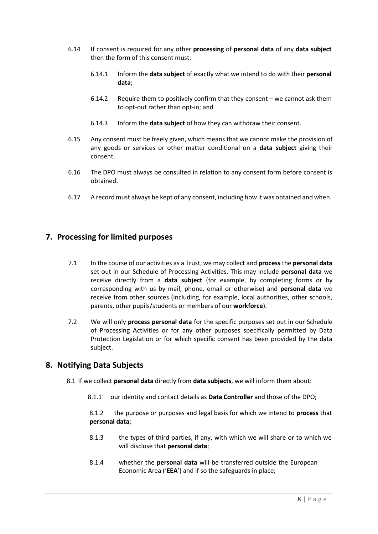- 6.14 If consent is required for any other **processing** of **personal data** of any **data subject** then the form of this consent must:
	- 6.14.1 Inform the **data subject** of exactly what we intend to do with their **personal data**;
	- 6.14.2 Require them to positively confirm that they consent we cannot ask them to opt-out rather than opt-in; and
	- 6.14.3 Inform the **data subject** of how they can withdraw their consent.
- 6.15 Any consent must be freely given, which means that we cannot make the provision of any goods or services or other matter conditional on a **data subject** giving their consent.
- 6.16 The DPO must always be consulted in relation to any consent form before consent is obtained.
- 6.17 A recordmust always be kept of any consent, including how it was obtained and when.

# **7. Processing for limited purposes**

- 7.1 In the course of our activities as a Trust, we may collect and **process** the **personal data** set out in our Schedule of Processing Activities. This may include **personal data** we receive directly from a **data subject** (for example, by completing forms or by corresponding with us by mail, phone, email or otherwise) and **personal data** we receive from other sources (including, for example, local authorities, other schools, parents, other pupils/students or members of our **workforce**).
- 7.2 We will only **process personal data** for the specific purposes set out in our Schedule of Processing Activities or for any other purposes specifically permitted by Data Protection Legislation or for which specific consent has been provided by the data subject.

## **8. Notifying Data Subjects**

- 8.1 If we collect **personal data** directly from **data subjects**, we will inform them about:
	- 8.1.1 our identity and contact details as **Data Controller** and those of the DPO;

8.1.2 the purpose or purposes and legal basis for which we intend to **process** that **personal data**;

- 8.1.3 the types of third parties, if any, with which we will share or to which we will disclose that **personal data**;
- 8.1.4 whether the **personal data** will be transferred outside the European Economic Area ('**EEA**') and if so the safeguards in place;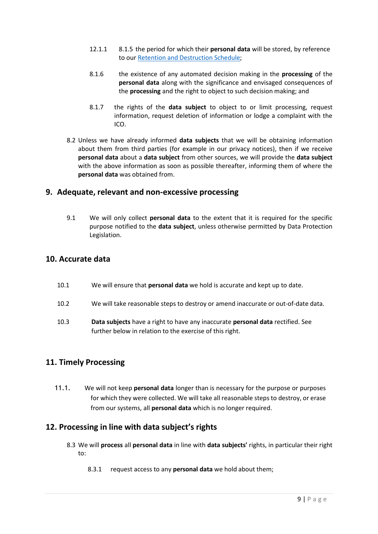- 12.1.1 8.1.5 the period for which their **personal data** will be stored, by reference to our Retention and [Destruction Schedule;](https://www.apollopartnershiptrust.uk/downloads/Data-Protection/02_APT_Records_Retention_and_Disposal_Schedule.pdf)
- 8.1.6 the existence of any automated decision making in the **processing** of the **personal data** along with the significance and envisaged consequences of the **processing** and the right to object to such decision making; and
- 8.1.7 the rights of the **data subject** to object to or limit processing, request information, request deletion of information or lodge a complaint with the ICO.
- 8.2 Unless we have already informed **data subjects** that we will be obtaining information about them from third parties (for example in our privacy notices), then if we receive **personal data** about a **data subject** from other sources, we will provide the **data subject** with the above information as soon as possible thereafter, informing them of where the **personal data** was obtained from.

## **9. Adequate, relevant and non-excessive processing**

9.1 We will only collect **personal data** to the extent that it is required for the specific purpose notified to the **data subject**, unless otherwise permitted by Data Protection Legislation.

# **10. Accurate data**

- 10.1 We will ensure that **personal data** we hold is accurate and kept up to date.
- 10.2 We will take reasonable steps to destroy or amend inaccurate or out-of-date data.
- 10.3 **Data subjects** have a right to have any inaccurate **personal data** rectified. See further below in relation to the exercise of this right.

# **11. Timely Processing**

11.1. We will not keep **personal data** longer than is necessary for the purpose or purposes for which they were collected. We will take all reasonable steps to destroy, or erase from our systems, all **personal data** which is no longer required.

# **12. Processing in line with data subject's rights**

- 8.3 We will **process** all **personal data** in line with **data subjects'** rights, in particular their right to:
	- 8.3.1 request access to any **personal data** we hold about them;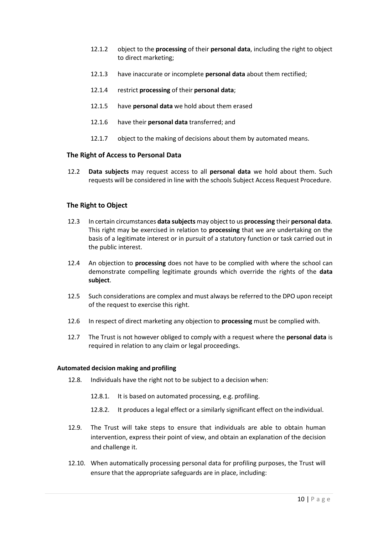- 12.1.2 object to the **processing** of their **personal data**, including the right to object to direct marketing;
- 12.1.3 have inaccurate or incomplete **personal data** about them rectified;
- 12.1.4 restrict **processing** of their **personal data**;
- 12.1.5 have **personal data** we hold about them erased
- 12.1.6 have their **personal data** transferred; and
- 12.1.7 object to the making of decisions about them by automated means.

#### **The Right of Access to Personal Data**

12.2 **Data subjects** may request access to all **personal data** we hold about them. Such requests will be considered in line with the schools Subject Access Request Procedure.

#### **The Right to Object**

- 12.3 In certain circumstances **data subjects** may object to us **processing** their **personal data**. This right may be exercised in relation to **processing** that we are undertaking on the basis of a legitimate interest or in pursuit of a statutory function or task carried out in the public interest.
- 12.4 An objection to **processing** does not have to be complied with where the school can demonstrate compelling legitimate grounds which override the rights of the **data subject**.
- 12.5 Such considerations are complex and must always be referred to the DPO upon receipt of the request to exercise this right.
- 12.6 In respect of direct marketing any objection to **processing** must be complied with.
- 12.7 The Trust is not however obliged to comply with a request where the **personal data** is required in relation to any claim or legal proceedings.

#### **Automated decision making and profiling**

- 12.8. Individuals have the right not to be subject to a decision when:
	- 12.8.1. It is based on automated processing, e.g. profiling.
	- 12.8.2. It produces a legal effect or a similarly significant effect on the individual.
- 12.9. The Trust will take steps to ensure that individuals are able to obtain human intervention, express their point of view, and obtain an explanation of the decision and challenge it.
- 12.10. When automatically processing personal data for profiling purposes, the Trust will ensure that the appropriate safeguards are in place, including: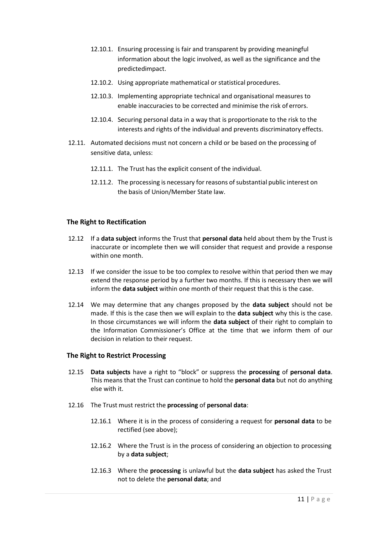- 12.10.1. Ensuring processing is fair and transparent by providing meaningful information about the logic involved, as well as the significance and the predictedimpact.
- 12.10.2. Using appropriate mathematical or statistical procedures.
- 12.10.3. Implementing appropriate technical and organisational measures to enable inaccuracies to be corrected and minimise the risk of errors.
- 12.10.4. Securing personal data in a way that is proportionate to the risk to the interests and rights of the individual and prevents discriminatory effects.
- 12.11. Automated decisions must not concern a child or be based on the processing of sensitive data, unless:
	- 12.11.1. The Trust has the explicit consent of the individual.
	- 12.11.2. The processing is necessary for reasons of substantial public interest on the basis of Union/Member State law.

#### **The Right to Rectification**

- 12.12 If a **data subject** informs the Trust that **personal data** held about them by the Trust is inaccurate or incomplete then we will consider that request and provide a response within one month.
- 12.13 If we consider the issue to be too complex to resolve within that period then we may extend the response period by a further two months. If this is necessary then we will inform the **data subject** within one month of their request that this is the case.
- 12.14 We may determine that any changes proposed by the **data subject** should not be made. If this is the case then we will explain to the **data subject** why this is the case. In those circumstances we will inform the **data subject** of their right to complain to the Information Commissioner's Office at the time that we inform them of our decision in relation to their request.

#### **The Right to Restrict Processing**

- 12.15 **Data subjects** have a right to "block" or suppress the **processing** of **personal data**. This means that the Trust can continue to hold the **personal data** but not do anything else with it.
- 12.16 The Trust must restrict the **processing** of **personal data**:
	- 12.16.1 Where it is in the process of considering a request for **personal data** to be rectified (see above);
	- 12.16.2 Where the Trust is in the process of considering an objection to processing by a **data subject**;
	- 12.16.3 Where the **processing** is unlawful but the **data subject** has asked the Trust not to delete the **personal data**; and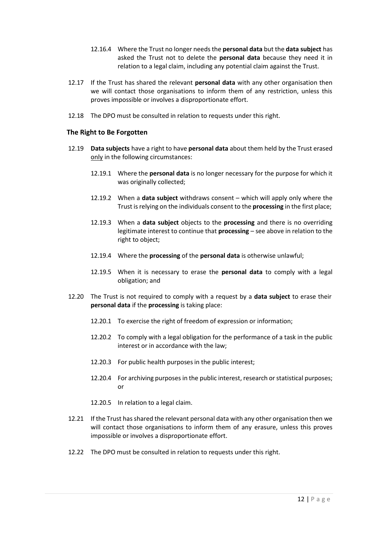- 12.16.4 Where the Trust no longer needs the **personal data** but the **data subject** has asked the Trust not to delete the **personal data** because they need it in relation to a legal claim, including any potential claim against the Trust.
- 12.17 If the Trust has shared the relevant **personal data** with any other organisation then we will contact those organisations to inform them of any restriction, unless this proves impossible or involves a disproportionate effort.
- 12.18 The DPO must be consulted in relation to requests under this right.

#### **The Right to Be Forgotten**

- 12.19 **Data subjects** have a right to have **personal data** about them held by the Trust erased only in the following circumstances:
	- 12.19.1 Where the **personal data** is no longer necessary for the purpose for which it was originally collected;
	- 12.19.2 When a **data subject** withdraws consent which will apply only where the Trust isrelying on the individuals consent to the **processing** in the first place;
	- 12.19.3 When a **data subject** objects to the **processing** and there is no overriding legitimate interest to continue that **processing** – see above in relation to the right to object;
	- 12.19.4 Where the **processing** of the **personal data** is otherwise unlawful;
	- 12.19.5 When it is necessary to erase the **personal data** to comply with a legal obligation; and
- 12.20 The Trust is not required to comply with a request by a **data subject** to erase their **personal data** if the **processing** is taking place:
	- 12.20.1 To exercise the right of freedom of expression or information;
	- 12.20.2 To comply with a legal obligation for the performance of a task in the public interest or in accordance with the law;
	- 12.20.3 For public health purposes in the public interest;
	- 12.20.4 For archiving purposes in the public interest, research or statistical purposes; or
	- 12.20.5 In relation to a legal claim.
- 12.21 If the Trust hasshared the relevant personal data with any other organisation then we will contact those organisations to inform them of any erasure, unless this proves impossible or involves a disproportionate effort.
- 12.22 The DPO must be consulted in relation to requests under this right.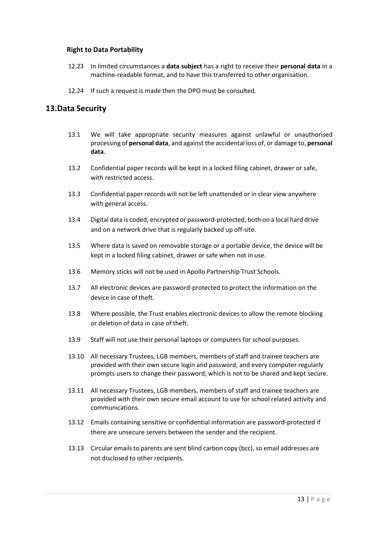#### **Right to Data Portability**

- 12.23 In limited circumstances a **data subject** has a right to receive their **personal data** in a machine-readable format, and to have this transferred to other organisation.
- 12.24 If such a request is made then the DPO must be consulted.

## **13.Data Security**

- 13.1 We will take appropriate security measures against unlawful or unauthorised processing of **personal data**, and against the accidental loss of, or damage to, **personal data**.
- 13.2 Confidential paper records will be kept in a locked filing cabinet, drawer or safe, with restricted access.
- 13.3 Confidential paper records will not be left unattended or in clear view anywhere with general access.
- 13.4 Digital data is coded, encrypted or password-protected, both on a local hard drive and on a network drive that is regularly backed up off-site.
- 13.5 Where data is saved on removable storage or a portable device, the device will be kept in a locked filing cabinet, drawer or safe when not in use.
- 13.6 Memory sticks will not be used in Apollo Partnership Trust Schools.
- 13.7 All electronic devices are password-protected to protect the information on the device in case of theft.
- 13.8 Where possible, the Trust enables electronic devices to allow the remote blocking or deletion of data in case of theft.
- 13.9 Staff will not use their personal laptops or computers for school purposes.
- 13.10 All necessary Trustees, LGB members, members of staff and trainee teachers are provided with their own secure login and password, and every computer regularly prompts users to change their password, which is not to be shared and kept secure.
- 13.11 All necessary Trustees, LGB members, members of staff and trainee teachers are provided with their own secure email account to use for school related activity and communications.
- 13.12 Emails containing sensitive or confidential information are password-protected if there are unsecure servers between the sender and the recipient.
- 13.13 Circular emails to parents are sent blind carbon copy (bcc), so email addresses are not disclosed to other recipients.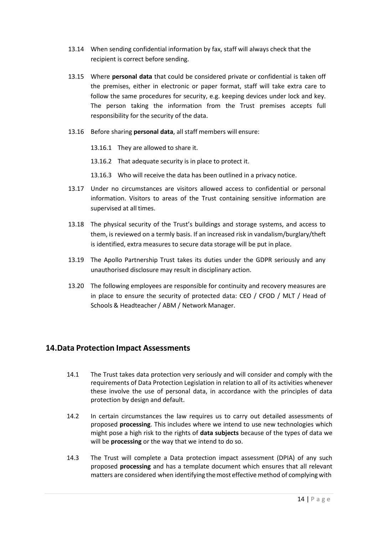- 13.14 When sending confidential information by fax, staff will always check that the recipient is correct before sending.
- 13.15 Where **personal data** that could be considered private or confidential is taken off the premises, either in electronic or paper format, staff will take extra care to follow the same procedures for security, e.g. keeping devices under lock and key. The person taking the information from the Trust premises accepts full responsibility for the security of the data.
- 13.16 Before sharing **personal data**, all staff members will ensure:
	- 13.16.1 They are allowed to share it.
	- 13.16.2 That adequate security is in place to protect it.
	- 13.16.3 Who will receive the data has been outlined in a privacy notice.
- 13.17 Under no circumstances are visitors allowed access to confidential or personal information. Visitors to areas of the Trust containing sensitive information are supervised at all times.
- 13.18 The physical security of the Trust's buildings and storage systems, and access to them, is reviewed on a termly basis. If an increased risk in vandalism/burglary/theft is identified, extra measures to secure data storage will be put in place.
- 13.19 The Apollo Partnership Trust takes its duties under the GDPR seriously and any unauthorised disclosure may result in disciplinary action.
- 13.20 The following employees are responsible for continuity and recovery measures are in place to ensure the security of protected data: CEO / CFOD / MLT / Head of Schools & Headteacher / ABM / Network Manager.

## **14.Data Protection Impact Assessments**

- 14.1 The Trust takes data protection very seriously and will consider and comply with the requirements of Data Protection Legislation in relation to all of its activities whenever these involve the use of personal data, in accordance with the principles of data protection by design and default.
- 14.2 In certain circumstances the law requires us to carry out detailed assessments of proposed **processing**. This includes where we intend to use new technologies which might pose a high risk to the rights of **data subjects** because of the types of data we will be **processing** or the way that we intend to do so.
- 14.3 The Trust will complete a Data protection impact assessment (DPIA) of any such proposed **processing** and has a template document which ensures that all relevant matters are considered when identifying themost effective method of complying with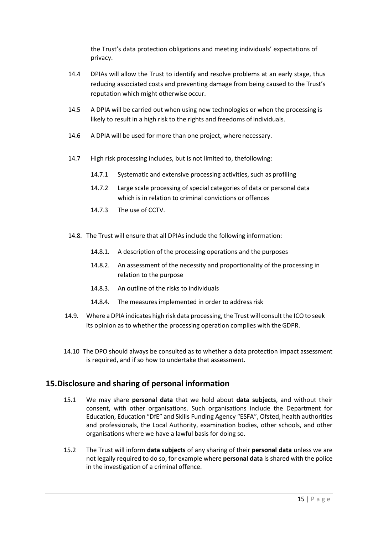the Trust's data protection obligations and meeting individuals' expectations of privacy.

- 14.4 DPIAs will allow the Trust to identify and resolve problems at an early stage, thus reducing associated costs and preventing damage from being caused to the Trust's reputation which might otherwise occur.
- 14.5 A DPIA will be carried out when using new technologies or when the processing is likely to result in a high risk to the rights and freedoms of individuals.
- 14.6 A DPIA will be used for more than one project, wherenecessary.
- 14.7 High risk processing includes, but is not limited to, thefollowing:
	- 14.7.1 Systematic and extensive processing activities, such as profiling
	- 14.7.2 Large scale processing of special categories of data or personal data which is in relation to criminal convictions or offences
	- 14.7.3 The use of CCTV.
- 14.8. The Trust will ensure that all DPIAs include the following information:
	- 14.8.1. A description of the processing operations and the purposes
	- 14.8.2. An assessment of the necessity and proportionality of the processing in relation to the purpose
	- 14.8.3. An outline of the risks to individuals
	- 14.8.4. The measures implemented in order to address risk
- 14.9. Where a DPIA indicates high risk data processing, the Trust will consult the ICO to seek its opinion as to whether the processing operation complies with the GDPR.
- 14.10 The DPO should always be consulted as to whether a data protection impact assessment is required, and if so how to undertake that assessment.

# **15.Disclosure and sharing of personal information**

- 15.1 We may share **personal data** that we hold about **data subjects**, and without their consent, with other organisations. Such organisations include the Department for Education, Education "DfE" and Skills Funding Agency "ESFA", Ofsted, health authorities and professionals, the Local Authority, examination bodies, other schools, and other organisations where we have a lawful basis for doing so.
- 15.2 The Trust will inform **data subjects** of any sharing of their **personal data** unless we are not legally required to do so, for example where **personal data** is shared with the police in the investigation of a criminal offence.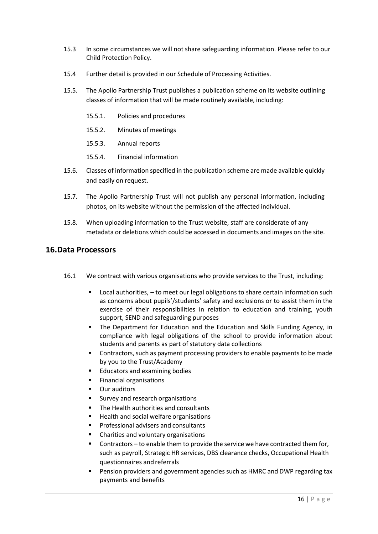- 15.3 In some circumstances we will not share safeguarding information. Please refer to our Child Protection Policy.
- 15.4 Further detail is provided in our Schedule of Processing Activities.
- 15.5. The Apollo Partnership Trust publishes a publication scheme on its website outlining classes of information that will be made routinely available, including:
	- 15.5.1. Policies and procedures
	- 15.5.2. Minutes of meetings
	- 15.5.3. Annual reports
	- 15.5.4. Financial information
- 15.6. Classes of information specified in the publication scheme are made available quickly and easily on request.
- 15.7. The Apollo Partnership Trust will not publish any personal information, including photos, on its website without the permission of the affected individual.
- 15.8. When uploading information to the Trust website, staff are considerate of any metadata or deletions which could be accessed in documents and images on the site.

## **16.Data Processors**

- 16.1 We contract with various organisations who provide services to the Trust, including:
	- Local authorities,  $-$  to meet our legal obligations to share certain information such as concerns about pupils'/students' safety and exclusions or to assist them in the exercise of their responsibilities in relation to education and training, youth support, SEND and safeguarding purposes
	- **•** The Department for Education and the Education and Skills Funding Agency, in compliance with legal obligations of the school to provide information about students and parents as part of statutory data collections
	- **•** Contractors, such as payment processing providers to enable payments to be made by you to the Trust/Academy
	- Educators and examining bodies
	- Financial organisations
	- Our auditors
	- Survey and research organisations
	- The Health authorities and consultants
	- Health and social welfare organisations
	- Professional advisers and consultants
	- Charities and voluntary organisations
	- Contractors to enable them to provide the service we have contracted them for, such as payroll, Strategic HR services, DBS clearance checks, Occupational Health questionnaires and referrals
	- Pension providers and government agencies such as HMRC and DWP regarding tax payments and benefits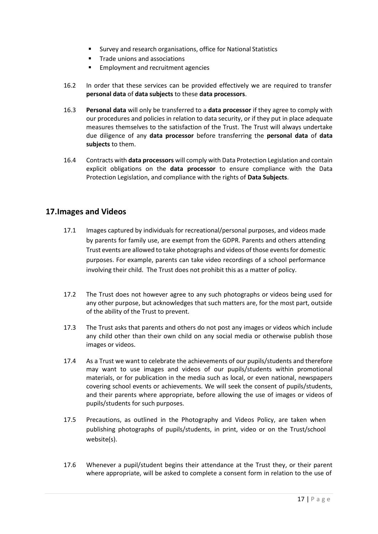- Survey and research organisations, office for National Statistics
- Trade unions and associations
- Employment and recruitment agencies
- 16.2 In order that these services can be provided effectively we are required to transfer **personal data** of **data subjects** to these **data processors**.
- 16.3 **Personal data** will only be transferred to a **data processor** if they agree to comply with our procedures and policies in relation to data security, or if they put in place adequate measures themselves to the satisfaction of the Trust. The Trust will always undertake due diligence of any **data processor** before transferring the **personal data** of **data subjects** to them.
- 16.4 Contracts with **data processors** will comply with Data Protection Legislation and contain explicit obligations on the **data processor** to ensure compliance with the Data Protection Legislation, and compliance with the rights of **Data Subjects**.

# **17.Images and Videos**

- 17.1 Images captured by individuals for recreational/personal purposes, and videos made by parents for family use, are exempt from the GDPR. Parents and others attending Trust events are allowed to take photographs and videos of those events for domestic purposes. For example, parents can take video recordings of a school performance involving their child. The Trust does not prohibit this as a matter of policy.
- 17.2 The Trust does not however agree to any such photographs or videos being used for any other purpose, but acknowledges that such matters are, for the most part, outside of the ability of the Trust to prevent.
- 17.3 The Trust asks that parents and others do not post any images or videos which include any child other than their own child on any social media or otherwise publish those images or videos.
- 17.4 As a Trust we want to celebrate the achievements of our pupils/students and therefore may want to use images and videos of our pupils/students within promotional materials, or for publication in the media such as local, or even national, newspapers covering school events or achievements. We will seek the consent of pupils/students, and their parents where appropriate, before allowing the use of images or videos of pupils/students for such purposes.
- 17.5 Precautions, as outlined in the Photography and Videos Policy, are taken when publishing photographs of pupils/students, in print, video or on the Trust/school website(s).
- 17.6 Whenever a pupil/student begins their attendance at the Trust they, or their parent where appropriate, will be asked to complete a consent form in relation to the use of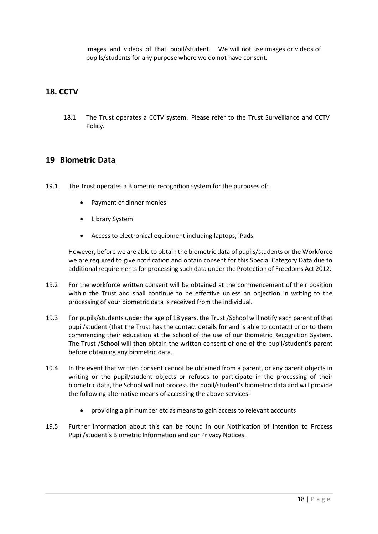images and videos of that pupil/student. We will not use images or videos of pupils/students for any purpose where we do not have consent.

# **18. CCTV**

18.1 The Trust operates a CCTV system. Please refer to the Trust Surveillance and CCTV Policy.

## **19 Biometric Data**

- 19.1 The Trust operates a Biometric recognition system for the purposes of:
	- Payment of dinner monies
	- Library System
	- Access to electronical equipment including laptops, iPads

However, before we are able to obtain the biometric data of pupils/students orthe Workforce we are required to give notification and obtain consent for this Special Category Data due to additional requirements for processing such data under the Protection of Freedoms Act 2012.

- 19.2 For the workforce written consent will be obtained at the commencement of their position within the Trust and shall continue to be effective unless an objection in writing to the processing of your biometric data is received from the individual.
- 19.3 For pupils/students under the age of 18 years, the Trust /School will notify each parent of that pupil/student (that the Trust has the contact details for and is able to contact) prior to them commencing their education at the school of the use of our Biometric Recognition System. The Trust /School will then obtain the written consent of one of the pupil/student's parent before obtaining any biometric data.
- 19.4 In the event that written consent cannot be obtained from a parent, or any parent objects in writing or the pupil/student objects or refuses to participate in the processing of their biometric data, the School will not process the pupil/student's biometric data and will provide the following alternative means of accessing the above services:
	- providing a pin number etc as means to gain access to relevant accounts
- 19.5 Further information about this can be found in our Notification of Intention to Process Pupil/student's Biometric Information and our Privacy Notices.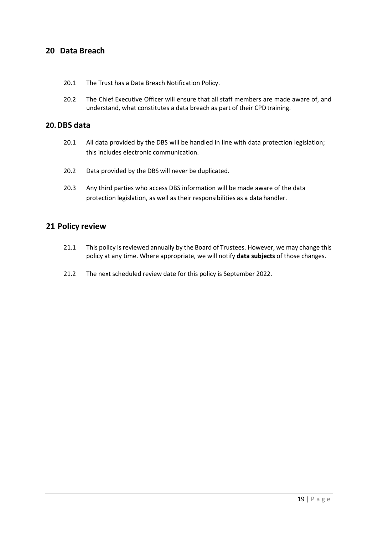# **20 Data Breach**

- 20.1 The Trust has a Data Breach Notification Policy.
- 20.2 The Chief Executive Officer will ensure that all staff members are made aware of, and understand, what constitutes a data breach as part of their CPD training.

## **20.DBS data**

- 20.1 All data provided by the DBS will be handled in line with data protection legislation; this includes electronic communication.
- 20.2 Data provided by the DBS will never be duplicated.
- 20.3 Any third parties who access DBS information will be made aware of the data protection legislation, as well as their responsibilities as a data handler.

## **21 Policy review**

- 21.1 This policy is reviewed annually by the Board of Trustees. However, we may change this policy at any time. Where appropriate, we will notify **data subjects** of those changes.
- 21.2 The next scheduled review date for this policy is September 2022.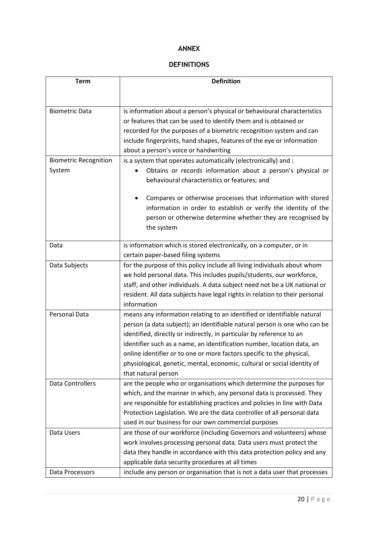## **ANNEX**

# **DEFINITIONS**

| <b>Term</b>                  | <b>Definition</b>                                                           |
|------------------------------|-----------------------------------------------------------------------------|
|                              |                                                                             |
|                              |                                                                             |
| <b>Biometric Data</b>        | is information about a person's physical or behavioural characteristics     |
|                              | or features that can be used to identify them and is obtained or            |
|                              | recorded for the purposes of a biometric recognition system and can         |
|                              | include fingerprints, hand shapes, features of the eye or information       |
|                              | about a person's voice or handwriting                                       |
| <b>Biometric Recognition</b> | is a system that operates automatically (electronically) and :              |
| System                       | Obtains or records information about a person's physical or                 |
|                              | behavioural characteristics or features; and                                |
|                              | Compares or otherwise processes that information with stored                |
|                              | information in order to establish or verify the identity of the             |
|                              | person or otherwise determine whether they are recognised by                |
|                              | the system                                                                  |
| Data                         | is information which is stored electronically, on a computer, or in         |
|                              | certain paper-based filing systems                                          |
| Data Subjects                | for the purpose of this policy include all living individuals about whom    |
|                              | we hold personal data. This includes pupils/students, our workforce,        |
|                              | staff, and other individuals. A data subject need not be a UK national or   |
|                              | resident. All data subjects have legal rights in relation to their personal |
|                              | information                                                                 |
| Personal Data                | means any information relating to an identified or identifiable natural     |
|                              | person (a data subject); an identifiable natural person is one who can be   |
|                              | identified, directly or indirectly, in particular by reference to an        |
|                              | identifier such as a name, an identification number, location data, an      |
|                              | online identifier or to one or more factors specific to the physical,       |
|                              | physiological, genetic, mental, economic, cultural or social identity of    |
|                              | that natural person                                                         |
| <b>Data Controllers</b>      | are the people who or organisations which determine the purposes for        |
|                              | which, and the manner in which, any personal data is processed. They        |
|                              | are responsible for establishing practices and policies in line with Data   |
|                              | Protection Legislation. We are the data controller of all personal data     |
|                              | used in our business for our own commercial purposes                        |
| Data Users                   | are those of our workforce (including Governors and volunteers) whose       |
|                              | work involves processing personal data. Data users must protect the         |
|                              | data they handle in accordance with this data protection policy and any     |
|                              | applicable data security procedures at all times                            |
| Data Processors              | include any person or organisation that is not a data user that processes   |